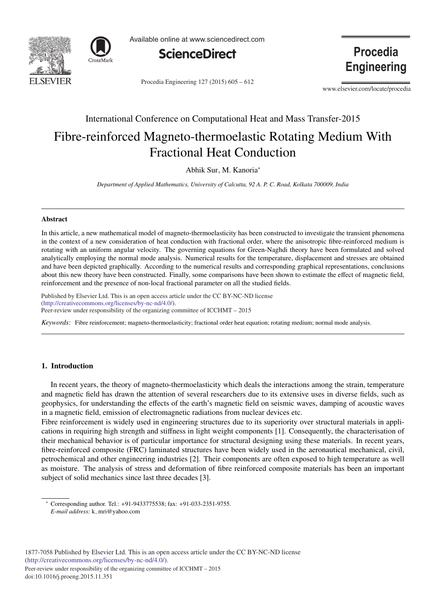



Available online at www.sciencedirect.com



Procedia Engineering 127 (2015) 605 – 612

**Procedia Engineering** 

www.elsevier.com/locate/procedia

# International Conference on Computational Heat and Mass Transfer-2015 Fibre-reinforced Magneto-thermoelastic Rotating Medium With Fractional Heat Conduction

Abhik Sur, M. Kanoria<sup>∗</sup>

*Department of Applied Mathematics, University of Calcutta, 92 A. P. C. Road, Kolkata 700009, India*

# Abstract

In this article, a new mathematical model of magneto-thermoelasticity has been constructed to investigate the transient phenomena in the context of a new consideration of heat conduction with fractional order, where the anisotropic fibre-reinforced medium is rotating with an uniform angular velocity. The governing equations for Green-Naghdi theory have been formulated and solved analytically employing the normal mode analysis. Numerical results for the temperature, displacement and stresses are obtained and have been depicted graphically. According to the numerical results and corresponding graphical representations, conclusions about this new theory have been constructed. Finally, some comparisons have been shown to estimate the effect of magnetic field, reinforcement and the presence of non-local fractional parameter on all the studied fields.

r abilished by Elsevier Edd. This is an open access and<br>(http://creativecommons.org/licenses/by-nc-nd/4.0/). Peer-review under responsibility of the organizing committee of ICCHMT – 2015. Peer-review under responsibility of the organizing committee of ICCHMT – 2015Published by Elsevier Ltd. This is an open access article under the CC BY-NC-ND license

*Keywords:* Fibre reinforcement; magneto-thermoelasticity; fractional order heat equation; rotating medium; normal mode analysis.

# 1. Introduction

In recent years, the theory of magneto-thermoelasticity which deals the interactions among the strain, temperature and magnetic field has drawn the attention of several researchers due to its extensive uses in diverse fields, such as geophysics, for understanding the effects of the earth's magnetic field on seismic waves, damping of acoustic waves in a magnetic field, emission of electromagnetic radiations from nuclear devices etc.

Fibre reinforcement is widely used in engineering structures due to its superiority over structural materials in applications in requiring high strength and stiffness in light weight components [1]. Consequently, the characterisation of their mechanical behavior is of particular importance for structural designing using these materials. In recent years, fibre-reinforced composite (FRC) laminated structures have been widely used in the aeronautical mechanical, civil, petrochemical and other engineering industries [2]. Their components are often exposed to high temperature as well as moisture. The analysis of stress and deformation of fibre reinforced composite materials has been an important subject of solid mechanics since last three decades [3].

∗ Corresponding author. Tel.: +91-9433775538; fax: +91-033-2351-9755. *E-mail address:* k−mri@yahoo.com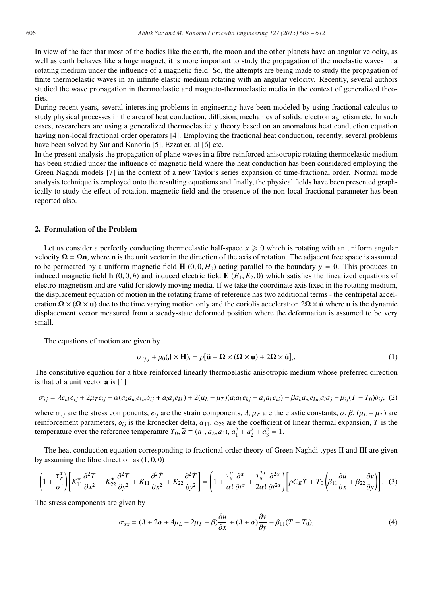In view of the fact that most of the bodies like the earth, the moon and the other planets have an angular velocity, as well as earth behaves like a huge magnet, it is more important to study the propagation of thermoelastic waves in a rotating medium under the influence of a magnetic field. So, the attempts are being made to study the propagation of finite thermoelastic waves in an infinite elastic medium rotating with an angular velocity. Recently, several authors studied the wave propagation in thermoelastic and magneto-thermoelastic media in the context of generalized theories.

During recent years, several interesting problems in engineering have been modeled by using fractional calculus to study physical processes in the area of heat conduction, diffusion, mechanics of solids, electromagnetism etc. In such cases, researchers are using a generalized thermoelasticity theory based on an anomalous heat conduction equation having non-local fractional order operators [4]. Employing the fractional heat conduction, recently, several problems have been solved by Sur and Kanoria [5], Ezzat et. al [6] etc.

In the present analysis the propagation of plane waves in a fibre-reinforced anisotropic rotating thermoelastic medium has been studied under the influence of magnetic field where the heat conduction has been considered employing the Green Naghdi models [7] in the context of a new Taylor's series expansion of time-fractional order. Normal mode analysis technique is employed onto the resulting equations and finally, the physical fields have been presented graphically to study the effect of rotation, magnetic field and the presence of the non-local fractional parameter has been reported also.

# 2. Formulation of the Problem

Let us consider a perfectly conducting thermoelastic half-space  $x \geqslant 0$  which is rotating with an uniform angular velocity  $\Omega = \Omega n$ , where **n** is the unit vector in the direction of the axis of rotation. The adjacent free space is assumed to be permeated by a uniform magnetic field  $H(0, 0, H_0)$  acting parallel to the boundary  $y = 0$ . This produces an induced magnetic field  $\mathbf{h}$  (0, 0, h) and induced electric field  $\mathbf{E}$  ( $E_1, E_2, 0$ ) which satisfies the linearized equations of electro-magnetism and are valid for slowly moving media. If we take the coordinate axis fixed in the rotating medium, the displacement equation of motion in the rotating frame of reference has two additional terms - the centripetal acceleration  $\Omega \times (\Omega \times \mathbf{u})$  due to the time varying motion only and the coriolis acceleration  $2\Omega \times \mathbf{u}$  where **u** is the dynamic displacement vector measured from a steady-state deformed position where the deformation is assumed to be very small.

The equations of motion are given by

$$
\sigma_{i,j,j} + \mu_0 (\mathbf{J} \times \mathbf{H})_i = \rho [\mathbf{\ddot{u}} + \mathbf{\Omega} \times (\mathbf{\Omega} \times \mathbf{u}) + 2\mathbf{\Omega} \times \mathbf{\dot{u}}]_i, \tag{1}
$$

The constitutive equation for a fibre-reinforced linearly thermoelastic anisotropic medium whose preferred direction is that of a unit vector a is [1]

$$
\sigma_{ij} = \lambda e_{kk}\delta_{ij} + 2\mu_T e_{ij} + \alpha(a_k a_m e_{km}\delta_{ij} + a_i a_j e_{kk}) + 2(\mu_L - \mu_T)(a_i a_k e_{kj} + a_j a_k e_{ki}) - \beta a_k a_m e_{km} a_i a_j - \beta_{ij} (T - T_0)\delta_{ij},
$$
 (2)

where  $\sigma_{ij}$  are the stress components,  $e_{ij}$  are the strain components,  $\lambda$ ,  $\mu_T$  are the elastic constants,  $\alpha$ ,  $\beta$ ,  $(\mu_L - \mu_T)$  are reinforcement parameters,  $\delta_{ij}$  is the kronecker delta,  $\alpha_{11}$ ,  $\alpha_{22}$  are the coefficient of linear thermal expansion, *T* is the temperature over the reference temperature  $T_0$ ,  $\tilde{a} \equiv (a_1, a_2, a_3)$ ,  $a_1^2 + a_2^2 + a_3^2 = 1$ .

The heat conduction equation corresponding to fractional order theory of Green Naghdi types II and III are given by assuming the fibre direction as  $(1, 0, 0)$ 

$$
\left(1+\frac{\tau_{T}^{\alpha}}{\alpha!}\right)\left[K_{11}^{\star}\frac{\partial^{2} T}{\partial x^{2}}+K_{22}^{\star}\frac{\partial^{2} T}{\partial y^{2}}+K_{11}\frac{\partial^{2} T}{\partial x^{2}}+K_{22}\frac{\partial^{2} T}{\partial y^{2}}\right]=\left(1+\frac{\tau_{q}^{\alpha}}{\alpha!}\frac{\partial^{\alpha}}{\partial t^{\alpha}}+\frac{\tau_{q}^{2\alpha}}{2\alpha!}\frac{\partial^{2\alpha}}{\partial t^{2\alpha}}\right)\left[\rho C_{E}\ddot{T}+T_{0}\left(\beta_{11}\frac{\partial \ddot{u}}{\partial x}+\beta_{22}\frac{\partial \ddot{v}}{\partial y}\right)\right].
$$
 (3)

The stress components are given by

$$
\sigma_{xx} = (\lambda + 2\alpha + 4\mu_L - 2\mu_T + \beta)\frac{\partial u}{\partial x} + (\lambda + \alpha)\frac{\partial v}{\partial y} - \beta_{11}(T - T_0),\tag{4}
$$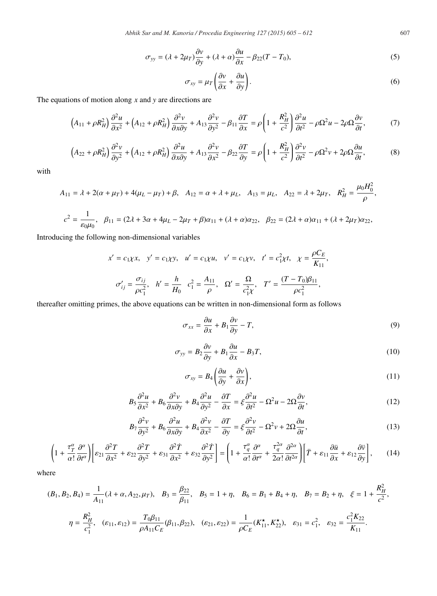$$
\sigma_{yy} = (\lambda + 2\mu_T)\frac{\partial v}{\partial y} + (\lambda + \alpha)\frac{\partial u}{\partial x} - \beta_{22}(T - T_0),\tag{5}
$$

$$
\sigma_{xy} = \mu_T \left( \frac{\partial v}{\partial x} + \frac{\partial u}{\partial y} \right). \tag{6}
$$

The equations of motion along *x* and *y* are directions are

$$
\left(A_{11} + \rho R_H^2\right) \frac{\partial^2 u}{\partial x^2} + \left(A_{12} + \rho R_H^2\right) \frac{\partial^2 v}{\partial x \partial y} + A_{13} \frac{\partial^2 v}{\partial y^2} - \beta_{11} \frac{\partial T}{\partial x} = \rho \left(1 + \frac{R_H^2}{c^2}\right) \frac{\partial^2 u}{\partial t^2} - \rho \Omega^2 u - 2\rho \Omega \frac{\partial v}{\partial t},\tag{7}
$$

$$
\left(A_{22} + \rho R_H^2\right) \frac{\partial^2 v}{\partial y^2} + \left(A_{12} + \rho R_H^2\right) \frac{\partial^2 u}{\partial x \partial y} + A_{13} \frac{\partial^2 v}{\partial x^2} - \beta_{22} \frac{\partial T}{\partial y} = \rho \left(1 + \frac{R_H^2}{c^2}\right) \frac{\partial^2 v}{\partial t^2} - \rho \Omega^2 v + 2\rho \Omega \frac{\partial u}{\partial t},\tag{8}
$$

with

$$
A_{11} = \lambda + 2(\alpha + \mu_T) + 4(\mu_L - \mu_T) + \beta, \quad A_{12} = \alpha + \lambda + \mu_L, \quad A_{13} = \mu_L, \quad A_{22} = \lambda + 2\mu_T, \quad R_H^2 = \frac{\mu_0 H_0^2}{\rho},
$$

$$
c^{2} = \frac{1}{\varepsilon_{0}\mu_{0}}, \quad \beta_{11} = (2\lambda + 3\alpha + 4\mu_{L} - 2\mu_{T} + \beta)\alpha_{11} + (\lambda + \alpha)\alpha_{22}, \quad \beta_{22} = (2\lambda + \alpha)\alpha_{11} + (\lambda + 2\mu_{T})\alpha_{22},
$$

Introducing the following non-dimensional variables

$$
x' = c_1 \chi x, \quad y' = c_1 \chi y, \quad u' = c_1 \chi u, \quad v' = c_1 \chi v, \quad t' = c_1^2 \chi t, \quad \chi = \frac{\rho C_E}{K_{11}},
$$

$$
\sigma'_{ij} = \frac{\sigma_{ij}}{\rho c_1^2}, \quad h' = \frac{h}{H_0} \quad c_1^2 = \frac{A_{11}}{\rho}, \quad \Omega' = \frac{\Omega}{c_1^2 \chi}, \quad T' = \frac{(T - T_0)\beta_{11}}{\rho c_1^2},
$$

thereafter omitting primes, the above equations can be written in non-dimensional form as follows

$$
\sigma_{xx} = \frac{\partial u}{\partial x} + B_1 \frac{\partial v}{\partial y} - T,\tag{9}
$$

$$
\sigma_{yy} = B_2 \frac{\partial v}{\partial y} + B_1 \frac{\partial u}{\partial x} - B_3 T,\tag{10}
$$

$$
\sigma_{xy} = B_4 \left( \frac{\partial u}{\partial y} + \frac{\partial v}{\partial x} \right),\tag{11}
$$

$$
B_5 \frac{\partial^2 u}{\partial x^2} + B_6 \frac{\partial^2 v}{\partial x \partial y} + B_4 \frac{\partial^2 u}{\partial y^2} - \frac{\partial T}{\partial x} = \xi \frac{\partial^2 u}{\partial t^2} - \Omega^2 u - 2\Omega \frac{\partial v}{\partial t},\tag{12}
$$

$$
B_7 \frac{\partial^2 v}{\partial y^2} + B_6 \frac{\partial^2 u}{\partial x \partial y} + B_4 \frac{\partial^2 v}{\partial x^2} - \frac{\partial T}{\partial y} = \xi \frac{\partial^2 v}{\partial t^2} - \Omega^2 v + 2\Omega \frac{\partial u}{\partial t},\tag{13}
$$

$$
\left(1+\frac{\tau_T^{\alpha}}{\alpha!}\frac{\partial^{\alpha}}{\partial t^{\alpha}}\right)\left[\varepsilon_{21}\frac{\partial^2 T}{\partial x^2}+\varepsilon_{22}\frac{\partial^2 T}{\partial y^2}+\varepsilon_{31}\frac{\partial^2 T}{\partial x^2}+\varepsilon_{32}\frac{\partial^2 T}{\partial y^2}\right]=\left(1+\frac{\tau_q^{\alpha}}{\alpha!}\frac{\partial^{\alpha}}{\partial t^{\alpha}}+\frac{\tau_q^{2\alpha}}{2\alpha!}\frac{\partial^{2\alpha}}{\partial t^{2\alpha}}\right)\left[\ddot{T}+\varepsilon_{11}\frac{\partial \ddot{u}}{\partial x}+\varepsilon_{12}\frac{\partial \ddot{v}}{\partial y}\right],\qquad(14)
$$

where

$$
(B_1, B_2, B_4) = \frac{1}{A_{11}} (\lambda + \alpha, A_{22}, \mu_T), \quad B_3 = \frac{\beta_{22}}{\beta_{11}}, \quad B_5 = 1 + \eta, \quad B_6 = B_1 + B_4 + \eta, \quad B_7 = B_2 + \eta, \quad \xi = 1 + \frac{R_H^2}{c^2},
$$
\n
$$
\eta = \frac{R_H^2}{c_1^2}, \quad (\varepsilon_{11}, \varepsilon_{12}) = \frac{T_0 \beta_{11}}{\rho A_{11} C_E} (\beta_{11}, \beta_{22}), \quad (\varepsilon_{21}, \varepsilon_{22}) = \frac{1}{\rho C_E} (K_{11}^{\star}, K_{22}^{\star}), \quad \varepsilon_{31} = c_1^2, \quad \varepsilon_{32} = \frac{c_1^2 K_{22}}{K_{11}}.
$$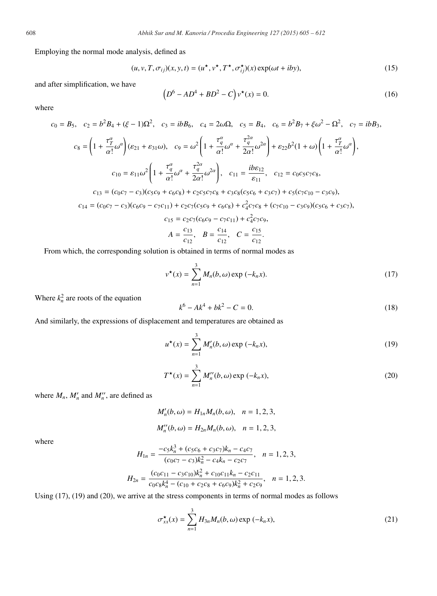Employing the normal mode analysis, defined as

$$
(u, v, T, \sigma_{ij})(x, y, t) = (u^*, v^*, T^*, \sigma_{ij}^*)(x) \exp(\omega t + iby),
$$
\n(15)

and after simplification, we have

$$
(D6 - AD4 + BD2 - C) v*(x) = 0.
$$
 (16)

where

$$
c_0 = B_5, \quad c_2 = b^2 B_4 + (\xi - 1)\Omega^2, \quad c_3 = ibB_6, \quad c_4 = 2\omega\Omega, \quad c_5 = B_4, \quad c_6 = b^2 B_7 + \xi\omega^2 - \Omega^2, \quad c_7 = ibB_3,
$$
\n
$$
c_8 = \left(1 + \frac{\tau_T^{\alpha}}{\alpha!}\omega^{\alpha}\right)(\epsilon_{21} + \epsilon_{31}\omega), \quad c_9 = \omega^2 \left(1 + \frac{\tau_q^{\alpha}}{\alpha!}\omega^{\alpha} + \frac{\tau_q^{2\alpha}}{2\alpha!}\omega^{2\alpha}\right) + \epsilon_{22}b^2(1 + \omega)\left(1 + \frac{\tau_T^{\alpha}}{\alpha!}\omega^{\alpha}\right),
$$
\n
$$
c_{10} = \epsilon_{11}\omega^2 \left(1 + \frac{\tau_q^{\alpha}}{\alpha!}\omega^{\alpha} + \frac{\tau_q^{2\alpha}}{2\alpha!}\omega^{2\alpha}\right), \quad c_{11} = \frac{ib\epsilon_{12}}{\epsilon_{11}}, \quad c_{12} = c_0c_5c_7c_8,
$$
\n
$$
c_{13} = (c_0c_7 - c_3)(c_5c_9 + c_6c_8) + c_2c_5c_7c_8 + c_3c_8(c_5c_6 + c_3c_7) + c_5(c_7c_{10} - c_3c_9),
$$
\n
$$
c_{14} = (c_0c_7 - c_3)(c_6c_9 - c_7c_{11}) + c_2c_7(c_5c_9 + c_6c_8) + c_4^2c_7c_8 + (c_7c_{10} - c_3c_9)(c_5c_6 + c_3c_7),
$$
\n
$$
c_{15} = c_2c_7(c_6c_9 - c_7c_{11}) + c_4^2c_7c_9,
$$
\n
$$
A = \frac{c_{13}}{c_{12}}, \quad B = \frac{c_{14}}{c_{12}}, \quad C = \frac{c_{15}}{c_{12}}.
$$

From which, the corresponding solution is obtained in terms of normal modes as

$$
v^{\star}(x) = \sum_{n=1}^{3} M_n(b, \omega) \exp(-k_n x).
$$
 (17)

Where  $k_n^2$  are roots of the equation

$$
k^6 - Ak^4 + bk^2 - C = 0.
$$
 (18)

And similarly, the expressions of displacement and temperatures are obtained as

$$
u^{\star}(x) = \sum_{n=1}^{3} M'_{n}(b, \omega) \exp(-k_{n}x),
$$
 (19)

$$
T^{\star}(x) = \sum_{n=1}^{3} M_n''(b, \omega) \exp(-k_n x),
$$
 (20)

where  $M_n$ ,  $M'_n$  and  $M''_n$ , are defined as

$$
M'_{n}(b,\omega) = H_{1n}M_{n}(b,\omega), \quad n = 1,2,3,
$$
  

$$
M''_{n}(b,\omega) = H_{2n}M_{n}(b,\omega), \quad n = 1,2,3,
$$

where

$$
H_{1n} = \frac{-c_5k_n^3 + (c_5c_6 + c_3c_7)k_n - c_4c_7}{(c_0c_7 - c_3)k_n^2 - c_4k_n - c_2c_7}, \quad n = 1, 2, 3,
$$
  

$$
H_{2n} = \frac{(c_0c_{11} - c_3c_{10})k_n^2 + c_{10}c_{11}k_n - c_2c_{11}}{c_0c_8k_n^4 - (c_{10} + c_2c_8 + c_6c_9)k_n^2 + c_2c_9}, \quad n = 1, 2, 3.
$$

Using (17), (19) and (20), we arrive at the stress components in terms of normal modes as follows

$$
\sigma_{xx}^{\star}(x) = \sum_{n=1}^{3} H_{3n} M_n(b, \omega) \exp(-k_n x), \qquad (21)
$$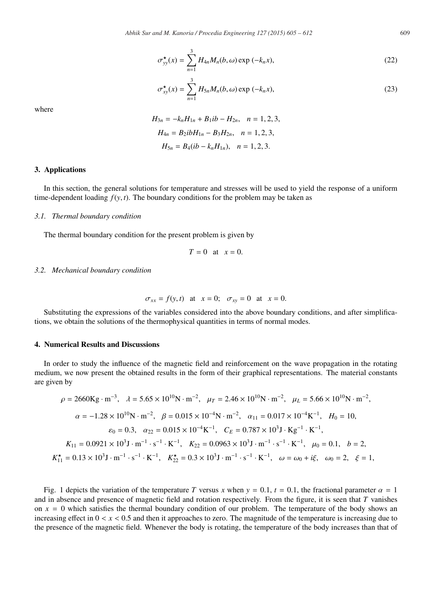$$
\sigma_{yy}^{\star}(x) = \sum_{n=1}^{3} H_{4n} M_n(b, \omega) \exp(-k_n x), \qquad (22)
$$

$$
\sigma_{xy}^{\star}(x) = \sum_{n=1}^{3} H_{5n} M_n(b, \omega) \exp(-k_n x), \qquad (23)
$$

where

$$
H_{3n} = -k_n H_{1n} + B_1 ib - H_{2n}, \quad n = 1, 2, 3,
$$
  
\n
$$
H_{4n} = B_2 ib H_{1n} - B_3 H_{2n}, \quad n = 1, 2, 3,
$$
  
\n
$$
H_{5n} = B_4 (ib - k_n H_{1n}), \quad n = 1, 2, 3.
$$

# 3. Applications

In this section, the general solutions for temperature and stresses will be used to yield the response of a uniform time-dependent loading  $f(y, t)$ . The boundary conditions for the problem may be taken as

#### *3.1. Thermal boundary condition*

The thermal boundary condition for the present problem is given by

$$
T=0 \quad \text{at} \quad x=0.
$$

#### *3.2. Mechanical boundary condition*

$$
\sigma_{xx} = f(y, t)
$$
 at  $x = 0$ ;  $\sigma_{xy} = 0$  at  $x = 0$ .

Substituting the expressions of the variables considered into the above boundary conditions, and after simplifications, we obtain the solutions of the thermophysical quantities in terms of normal modes.

### 4. Numerical Results and Discussions

In order to study the influence of the magnetic field and reinforcement on the wave propagation in the rotating medium, we now present the obtained results in the form of their graphical representations. The material constants are given by

$$
\rho = 2660 \text{Kg} \cdot \text{m}^{-3}, \quad \lambda = 5.65 \times 10^{10} \text{N} \cdot \text{m}^{-2}, \quad \mu = 2.46 \times 10^{10} \text{N} \cdot \text{m}^{-2}, \quad \mu = 5.66 \times 10^{10} \text{N} \cdot \text{m}^{-2},
$$
\n
$$
\alpha = -1.28 \times 10^{10} \text{N} \cdot \text{m}^{-2}, \quad \beta = 0.015 \times 10^{-4} \text{N} \cdot \text{m}^{-2}, \quad \alpha_{11} = 0.017 \times 10^{-4} \text{K}^{-1}, \quad H_0 = 10,
$$
\n
$$
\varepsilon_0 = 0.3, \quad \alpha_{22} = 0.015 \times 10^{-4} \text{K}^{-1}, \quad C_E = 0.787 \times 10^3 \text{J} \cdot \text{Kg}^{-1} \cdot \text{K}^{-1},
$$
\n
$$
K_{11} = 0.0921 \times 10^3 \text{J} \cdot \text{m}^{-1} \cdot \text{s}^{-1} \cdot \text{K}^{-1}, \quad K_{22} = 0.0963 \times 10^3 \text{J} \cdot \text{m}^{-1} \cdot \text{s}^{-1} \cdot \text{K}^{-1}, \quad \mu_0 = 0.1, \quad b = 2,
$$
\n
$$
K_{11}^{\star} = 0.13 \times 10^3 \text{J} \cdot \text{m}^{-1} \cdot \text{s}^{-1} \cdot \text{K}^{-1}, \quad K_{22}^{\star} = 0.3 \times 10^3 \text{J} \cdot \text{m}^{-1} \cdot \text{s}^{-1} \cdot \text{K}^{-1}, \quad \omega = \omega_0 + i\xi, \quad \omega_0 = 2, \quad \xi = 1,
$$

Fig. 1 depicts the variation of the temperature *T* versus *x* when  $y = 0.1$ ,  $t = 0.1$ , the fractional parameter  $\alpha = 1$ and in absence and presence of magnetic field and rotation respectively. From the figure, it is seen that *T* vanishes on  $x = 0$  which satisfies the thermal boundary condition of our problem. The temperature of the body shows an increasing effect in  $0 < x < 0.5$  and then it approaches to zero. The magnitude of the temperature is increasing due to the presence of the magnetic field. Whenever the body is rotating, the temperature of the body increases than that of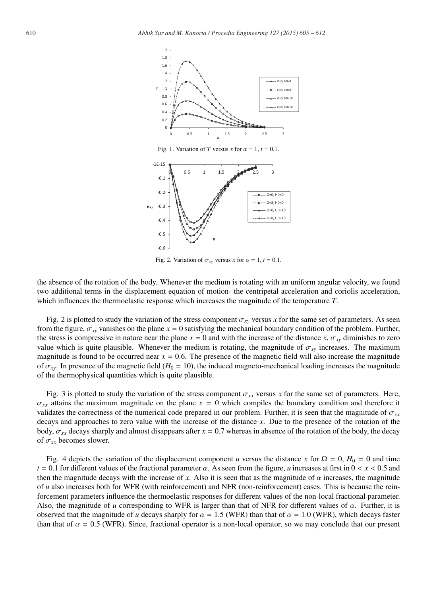

Fig. 2. Variation of  $\sigma_{xy}$  versus *x* for  $\alpha = 1$ ,  $t = 0.1$ .

the absence of the rotation of the body. Whenever the medium is rotating with an uniform angular velocity, we found two additional terms in the displacement equation of motion- the centripetal acceleration and coriolis acceleration, which influences the thermoelastic response which increases the magnitude of the temperature *T*.

Fig. 2 is plotted to study the variation of the stress component  $\sigma_{xy}$  versus *x* for the same set of parameters. As seen from the figure,  $\sigma_{xy}$  vanishes on the plane  $x = 0$  satisfying the mechanical boundary condition of the problem. Further, the stress is compressive in nature near the plane  $x = 0$  and with the increase of the distance  $x, \sigma_{xy}$  diminishes to zero value which is quite plausible. Whenever the medium is rotating, the magnitude of  $\sigma_{xy}$  increases. The maximum magnitude is found to be occurred near  $x = 0.6$ . The presence of the magnetic field will also increase the magnitude of  $\sigma_{xy}$ . In presence of the magnetic field ( $H_0 = 10$ ), the induced magneto-mechanical loading increases the magnitude of the thermophysical quantities which is quite plausible.

Fig. 3 is plotted to study the variation of the stress component  $\sigma_{xx}$  versus x for the same set of parameters. Here,  $\sigma_{xx}$  attains the maximum magnitude on the plane  $x = 0$  which compiles the boundary condition and therefore it validates the correctness of the numerical code prepared in our problem. Further, it is seen that the magnitude of  $\sigma_{xx}$ decays and approaches to zero value with the increase of the distance *x*. Due to the presence of the rotation of the body,  $\sigma_{xx}$  decays sharply and almost disappears after  $x = 0.7$  whereas in absence of the rotation of the body, the decay of σ*xx* becomes slower.

Fig. 4 depicts the variation of the displacement component *u* versus the distance *x* for  $\Omega = 0$ ,  $H_0 = 0$  and time  $t = 0.1$  for different values of the fractional parameter  $\alpha$ . As seen from the figure, *u* increases at first in  $0 < x < 0.5$  and then the magnitude decays with the increase of x. Also it is seen that as the magnitude of  $\alpha$  increases, the magnitude of *u* also increases both for WFR (with reinforcement) and NFR (non-reinforcement) cases. This is because the reinforcement parameters influence the thermoelastic responses for different values of the non-local fractional parameter. Also, the magnitude of  $u$  corresponding to WFR is larger than that of NFR for different values of  $\alpha$ . Further, it is observed that the magnitude of *u* decays sharply for  $\alpha = 1.5$  (WFR) than that of  $\alpha = 1.0$  (WFR), which decays faster than that of  $\alpha = 0.5$  (WFR). Since, fractional operator is a non-local operator, so we may conclude that our present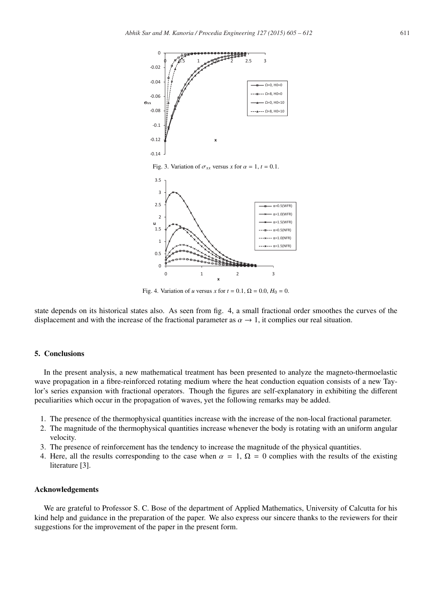

Fig. 4. Variation of *u* versus *x* for  $t = 0.1$ ,  $\Omega = 0.0$ ,  $H_0 = 0$ .

state depends on its historical states also. As seen from fig. 4, a small fractional order smoothes the curves of the displacement and with the increase of the fractional parameter as  $\alpha \to 1$ , it complies our real situation.

#### 5. Conclusions

In the present analysis, a new mathematical treatment has been presented to analyze the magneto-thermoelastic wave propagation in a fibre-reinforced rotating medium where the heat conduction equation consists of a new Taylor's series expansion with fractional operators. Though the figures are self-explanatory in exhibiting the different peculiarities which occur in the propagation of waves, yet the following remarks may be added.

- 1. The presence of the thermophysical quantities increase with the increase of the non-local fractional parameter.
- 2. The magnitude of the thermophysical quantities increase whenever the body is rotating with an uniform angular velocity.
- 3. The presence of reinforcement has the tendency to increase the magnitude of the physical quantities.
- 4. Here, all the results corresponding to the case when  $\alpha = 1$ ,  $\Omega = 0$  complies with the results of the existing literature [3].

## Acknowledgements

We are grateful to Professor S. C. Bose of the department of Applied Mathematics, University of Calcutta for his kind help and guidance in the preparation of the paper. We also express our sincere thanks to the reviewers for their suggestions for the improvement of the paper in the present form.